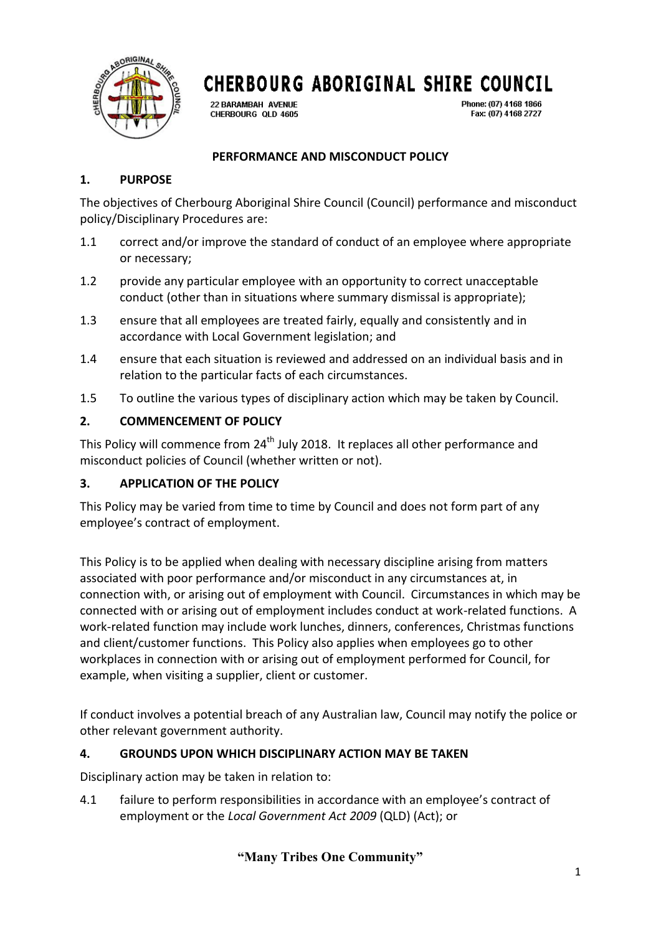

22 BARAMBAH AVENUE CHERBOURG QLD 4605 Phone: (07) 4168 1866 Fax: (07) 4168 2727

### **PERFORMANCE AND MISCONDUCT POLICY**

#### **1. PURPOSE**

The objectives of Cherbourg Aboriginal Shire Council (Council) performance and misconduct policy/Disciplinary Procedures are:

- 1.1 correct and/or improve the standard of conduct of an employee where appropriate or necessary;
- 1.2 provide any particular employee with an opportunity to correct unacceptable conduct (other than in situations where summary dismissal is appropriate);
- 1.3 ensure that all employees are treated fairly, equally and consistently and in accordance with Local Government legislation; and
- 1.4 ensure that each situation is reviewed and addressed on an individual basis and in relation to the particular facts of each circumstances.
- 1.5 To outline the various types of disciplinary action which may be taken by Council.

## **2. COMMENCEMENT OF POLICY**

This Policy will commence from  $24<sup>th</sup>$  July 2018. It replaces all other performance and misconduct policies of Council (whether written or not).

#### **3. APPLICATION OF THE POLICY**

This Policy may be varied from time to time by Council and does not form part of any employee's contract of employment.

This Policy is to be applied when dealing with necessary discipline arising from matters associated with poor performance and/or misconduct in any circumstances at, in connection with, or arising out of employment with Council. Circumstances in which may be connected with or arising out of employment includes conduct at work-related functions. A work-related function may include work lunches, dinners, conferences, Christmas functions and client/customer functions. This Policy also applies when employees go to other workplaces in connection with or arising out of employment performed for Council, for example, when visiting a supplier, client or customer.

If conduct involves a potential breach of any Australian law, Council may notify the police or other relevant government authority.

#### **4. GROUNDS UPON WHICH DISCIPLINARY ACTION MAY BE TAKEN**

Disciplinary action may be taken in relation to:

4.1 failure to perform responsibilities in accordance with an employee's contract of employment or the *Local Government Act 2009* (QLD) (Act); or

**"Many Tribes One Community"**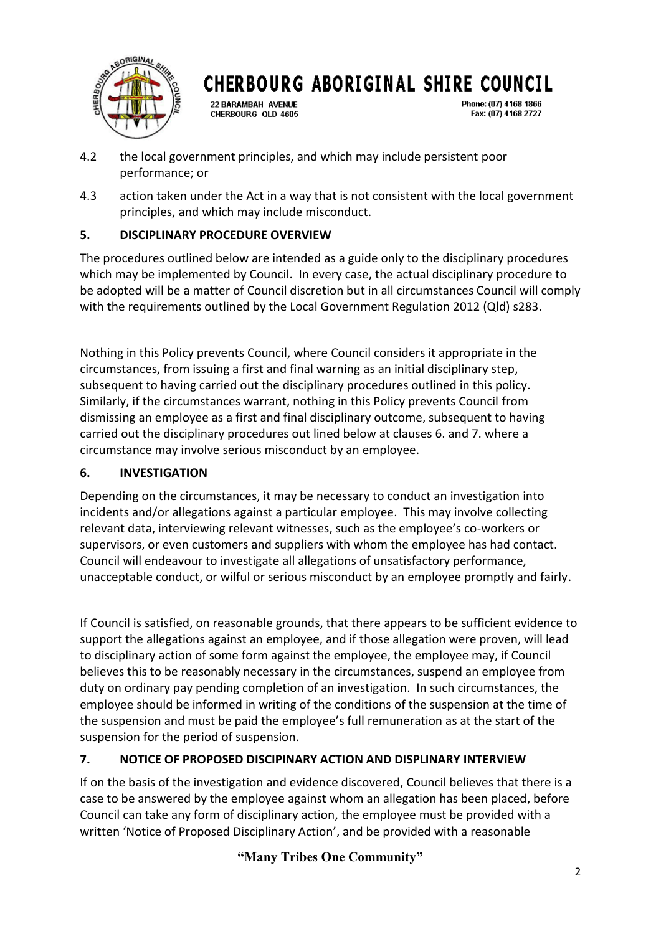

22 BARAMBAH AVENUE CHERBOURG QLD 4605 Phone: (07) 4168 1866 Fax: (07) 4168 2727

- 4.2 the local government principles, and which may include persistent poor performance; or
- 4.3 action taken under the Act in a way that is not consistent with the local government principles, and which may include misconduct.

## **5. DISCIPLINARY PROCEDURE OVERVIEW**

The procedures outlined below are intended as a guide only to the disciplinary procedures which may be implemented by Council. In every case, the actual disciplinary procedure to be adopted will be a matter of Council discretion but in all circumstances Council will comply with the requirements outlined by the Local Government Regulation 2012 (Qld) s283.

Nothing in this Policy prevents Council, where Council considers it appropriate in the circumstances, from issuing a first and final warning as an initial disciplinary step, subsequent to having carried out the disciplinary procedures outlined in this policy. Similarly, if the circumstances warrant, nothing in this Policy prevents Council from dismissing an employee as a first and final disciplinary outcome, subsequent to having carried out the disciplinary procedures out lined below at clauses 6. and 7. where a circumstance may involve serious misconduct by an employee.

## **6. INVESTIGATION**

Depending on the circumstances, it may be necessary to conduct an investigation into incidents and/or allegations against a particular employee. This may involve collecting relevant data, interviewing relevant witnesses, such as the employee's co-workers or supervisors, or even customers and suppliers with whom the employee has had contact. Council will endeavour to investigate all allegations of unsatisfactory performance, unacceptable conduct, or wilful or serious misconduct by an employee promptly and fairly.

If Council is satisfied, on reasonable grounds, that there appears to be sufficient evidence to support the allegations against an employee, and if those allegation were proven, will lead to disciplinary action of some form against the employee, the employee may, if Council believes this to be reasonably necessary in the circumstances, suspend an employee from duty on ordinary pay pending completion of an investigation. In such circumstances, the employee should be informed in writing of the conditions of the suspension at the time of the suspension and must be paid the employee's full remuneration as at the start of the suspension for the period of suspension.

## **7. NOTICE OF PROPOSED DISCIPINARY ACTION AND DISPLINARY INTERVIEW**

If on the basis of the investigation and evidence discovered, Council believes that there is a case to be answered by the employee against whom an allegation has been placed, before Council can take any form of disciplinary action, the employee must be provided with a written 'Notice of Proposed Disciplinary Action', and be provided with a reasonable

**"Many Tribes One Community"**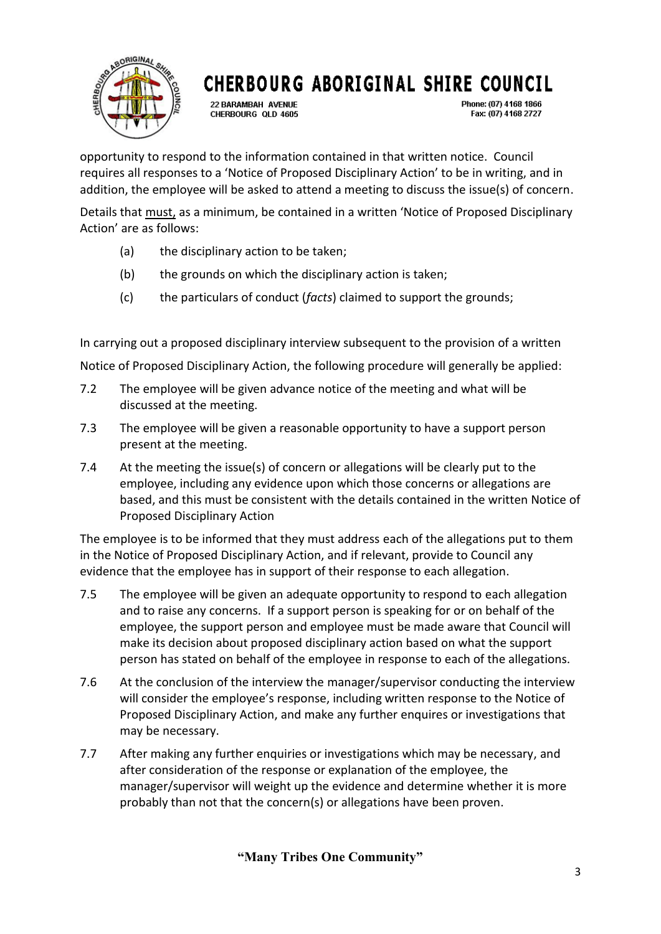

22 BARAMBAH AVENUE CHERBOURG QLD 4605 Phone: (07) 4168 1866 Fax: (07) 4168 2727

opportunity to respond to the information contained in that written notice. Council requires all responses to a 'Notice of Proposed Disciplinary Action' to be in writing, and in addition, the employee will be asked to attend a meeting to discuss the issue(s) of concern.

Details that must, as a minimum, be contained in a written 'Notice of Proposed Disciplinary Action' are as follows:

- (a) the disciplinary action to be taken;
- (b) the grounds on which the disciplinary action is taken;
- (c) the particulars of conduct (*facts*) claimed to support the grounds;

In carrying out a proposed disciplinary interview subsequent to the provision of a written Notice of Proposed Disciplinary Action, the following procedure will generally be applied:

- 7.2 The employee will be given advance notice of the meeting and what will be discussed at the meeting.
- 7.3 The employee will be given a reasonable opportunity to have a support person present at the meeting.
- 7.4 At the meeting the issue(s) of concern or allegations will be clearly put to the employee, including any evidence upon which those concerns or allegations are based, and this must be consistent with the details contained in the written Notice of Proposed Disciplinary Action

The employee is to be informed that they must address each of the allegations put to them in the Notice of Proposed Disciplinary Action, and if relevant, provide to Council any evidence that the employee has in support of their response to each allegation.

- 7.5 The employee will be given an adequate opportunity to respond to each allegation and to raise any concerns. If a support person is speaking for or on behalf of the employee, the support person and employee must be made aware that Council will make its decision about proposed disciplinary action based on what the support person has stated on behalf of the employee in response to each of the allegations.
- 7.6 At the conclusion of the interview the manager/supervisor conducting the interview will consider the employee's response, including written response to the Notice of Proposed Disciplinary Action, and make any further enquires or investigations that may be necessary.
- 7.7 After making any further enquiries or investigations which may be necessary, and after consideration of the response or explanation of the employee, the manager/supervisor will weight up the evidence and determine whether it is more probably than not that the concern(s) or allegations have been proven.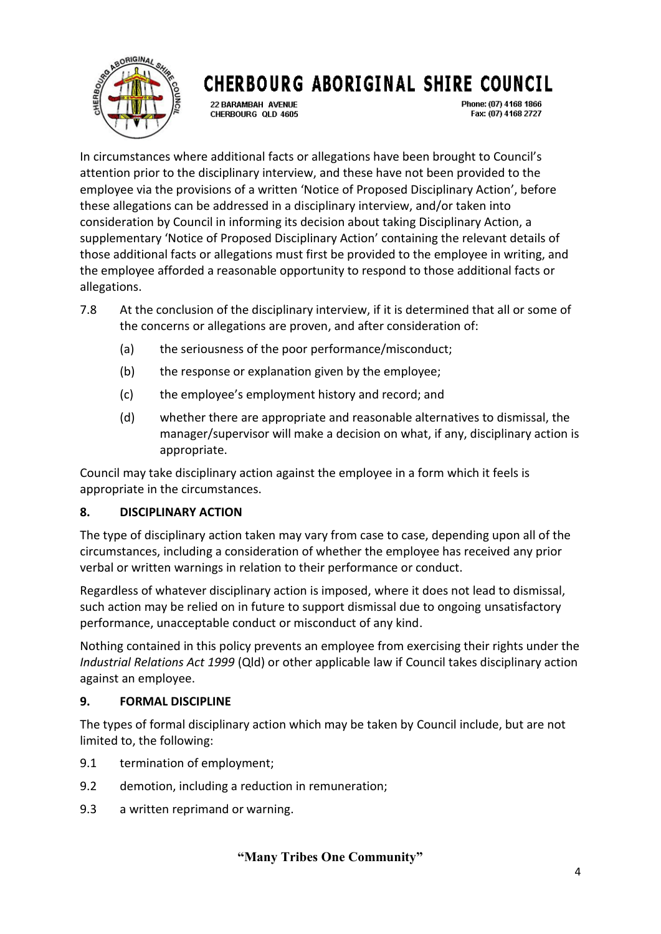

22 BARAMBAH AVENUE CHERBOURG OLD 4605

Phone: (07) 4168 1866 Fax: (07) 4168 2727

In circumstances where additional facts or allegations have been brought to Council's attention prior to the disciplinary interview, and these have not been provided to the employee via the provisions of a written 'Notice of Proposed Disciplinary Action', before these allegations can be addressed in a disciplinary interview, and/or taken into consideration by Council in informing its decision about taking Disciplinary Action, a supplementary 'Notice of Proposed Disciplinary Action' containing the relevant details of those additional facts or allegations must first be provided to the employee in writing, and the employee afforded a reasonable opportunity to respond to those additional facts or allegations.

- 7.8 At the conclusion of the disciplinary interview, if it is determined that all or some of the concerns or allegations are proven, and after consideration of:
	- (a) the seriousness of the poor performance/misconduct;
	- (b) the response or explanation given by the employee;
	- (c) the employee's employment history and record; and
	- (d) whether there are appropriate and reasonable alternatives to dismissal, the manager/supervisor will make a decision on what, if any, disciplinary action is appropriate.

Council may take disciplinary action against the employee in a form which it feels is appropriate in the circumstances.

## **8. DISCIPLINARY ACTION**

The type of disciplinary action taken may vary from case to case, depending upon all of the circumstances, including a consideration of whether the employee has received any prior verbal or written warnings in relation to their performance or conduct.

Regardless of whatever disciplinary action is imposed, where it does not lead to dismissal, such action may be relied on in future to support dismissal due to ongoing unsatisfactory performance, unacceptable conduct or misconduct of any kind.

Nothing contained in this policy prevents an employee from exercising their rights under the *Industrial Relations Act 1999* (Qld) or other applicable law if Council takes disciplinary action against an employee.

## **9. FORMAL DISCIPLINE**

The types of formal disciplinary action which may be taken by Council include, but are not limited to, the following:

- 9.1 termination of employment;
- 9.2 demotion, including a reduction in remuneration;
- 9.3 a written reprimand or warning.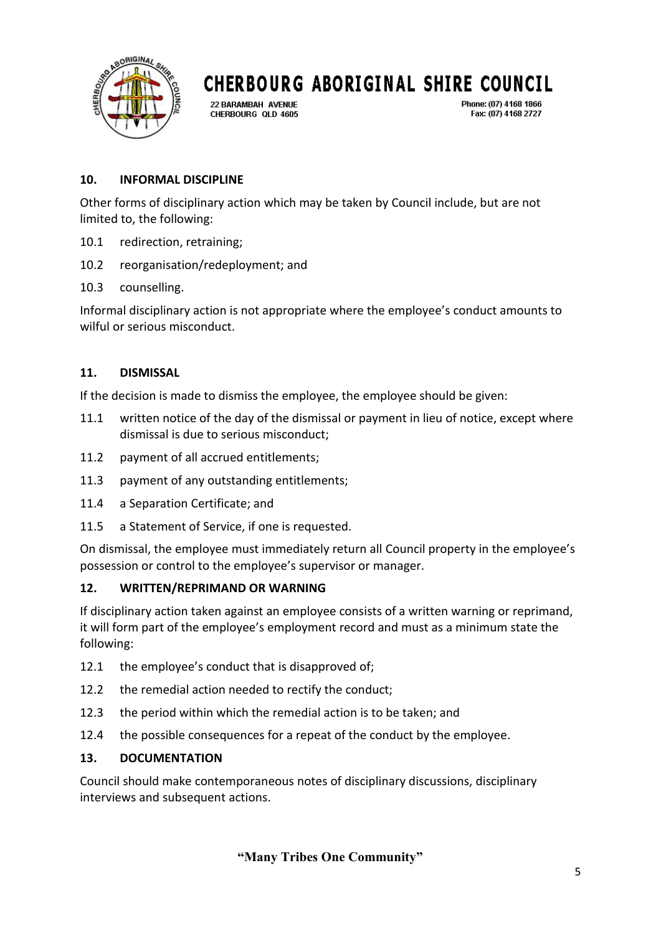

22 BARAMBAH AVENUE CHERBOURG QLD 4605 Phone: (07) 4168 1866 Fax: (07) 4168 2727

### **10. INFORMAL DISCIPLINE**

Other forms of disciplinary action which may be taken by Council include, but are not limited to, the following:

- 10.1 redirection, retraining;
- 10.2 reorganisation/redeployment; and
- 10.3 counselling.

Informal disciplinary action is not appropriate where the employee's conduct amounts to wilful or serious misconduct.

### **11. DISMISSAL**

If the decision is made to dismiss the employee, the employee should be given:

- 11.1 written notice of the day of the dismissal or payment in lieu of notice, except where dismissal is due to serious misconduct;
- 11.2 payment of all accrued entitlements:
- 11.3 payment of any outstanding entitlements;
- 11.4 a Separation Certificate; and
- 11.5 a Statement of Service, if one is requested.

On dismissal, the employee must immediately return all Council property in the employee's possession or control to the employee's supervisor or manager.

## **12. WRITTEN/REPRIMAND OR WARNING**

If disciplinary action taken against an employee consists of a written warning or reprimand, it will form part of the employee's employment record and must as a minimum state the following:

- 12.1 the employee's conduct that is disapproved of;
- 12.2 the remedial action needed to rectify the conduct;
- 12.3 the period within which the remedial action is to be taken; and
- 12.4 the possible consequences for a repeat of the conduct by the employee.

#### **13. DOCUMENTATION**

Council should make contemporaneous notes of disciplinary discussions, disciplinary interviews and subsequent actions.